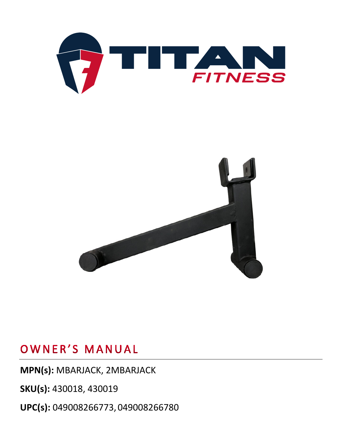



## OWNER'S MANUAL

**MPN(s):** MBARJACK, 2MBARJACK

**SKU(s):** 430018, 430019

**UPC(s):** 049008266773, 049008266780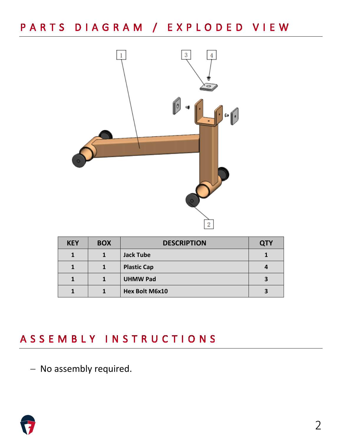# PARTS DIAGRAM / EXPLODED VIEW



| <b>KEY</b> | <b>BOX</b> | <b>DESCRIPTION</b> | <b>QTY</b> |
|------------|------------|--------------------|------------|
|            |            | <b>Jack Tube</b>   |            |
|            |            | <b>Plastic Cap</b> |            |
|            |            | <b>UHMW Pad</b>    |            |
|            |            | Hex Bolt M6x10     |            |

## ASSEMBLY INSTRUCTIONS

− No assembly required.